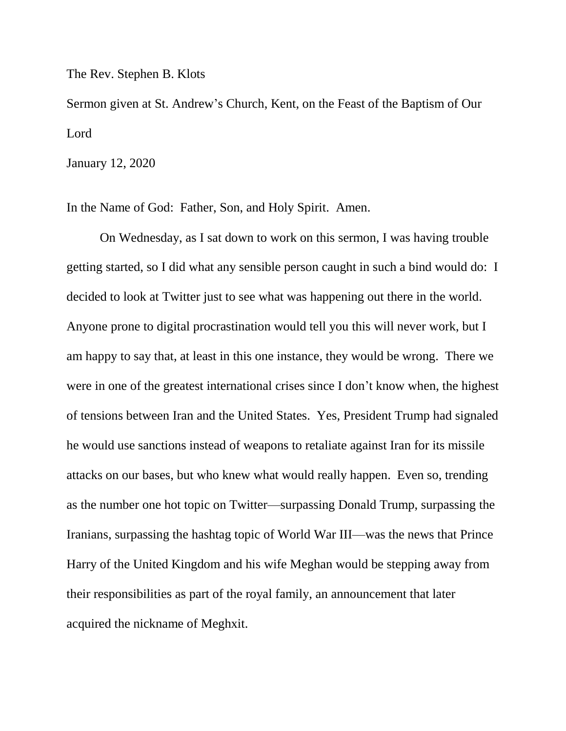The Rev. Stephen B. Klots

Sermon given at St. Andrew's Church, Kent, on the Feast of the Baptism of Our Lord

January 12, 2020

In the Name of God: Father, Son, and Holy Spirit. Amen.

On Wednesday, as I sat down to work on this sermon, I was having trouble getting started, so I did what any sensible person caught in such a bind would do: I decided to look at Twitter just to see what was happening out there in the world. Anyone prone to digital procrastination would tell you this will never work, but I am happy to say that, at least in this one instance, they would be wrong. There we were in one of the greatest international crises since I don't know when, the highest of tensions between Iran and the United States. Yes, President Trump had signaled he would use sanctions instead of weapons to retaliate against Iran for its missile attacks on our bases, but who knew what would really happen. Even so, trending as the number one hot topic on Twitter—surpassing Donald Trump, surpassing the Iranians, surpassing the hashtag topic of World War III—was the news that Prince Harry of the United Kingdom and his wife Meghan would be stepping away from their responsibilities as part of the royal family, an announcement that later acquired the nickname of Meghxit.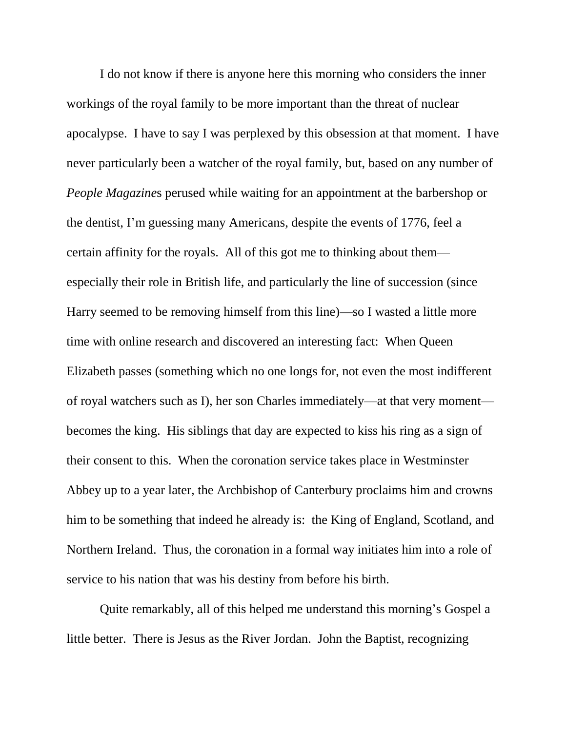I do not know if there is anyone here this morning who considers the inner workings of the royal family to be more important than the threat of nuclear apocalypse. I have to say I was perplexed by this obsession at that moment. I have never particularly been a watcher of the royal family, but, based on any number of *People Magazine*s perused while waiting for an appointment at the barbershop or the dentist, I'm guessing many Americans, despite the events of 1776, feel a certain affinity for the royals. All of this got me to thinking about them especially their role in British life, and particularly the line of succession (since Harry seemed to be removing himself from this line)—so I wasted a little more time with online research and discovered an interesting fact: When Queen Elizabeth passes (something which no one longs for, not even the most indifferent of royal watchers such as I), her son Charles immediately—at that very moment becomes the king. His siblings that day are expected to kiss his ring as a sign of their consent to this. When the coronation service takes place in Westminster Abbey up to a year later, the Archbishop of Canterbury proclaims him and crowns him to be something that indeed he already is: the King of England, Scotland, and Northern Ireland. Thus, the coronation in a formal way initiates him into a role of service to his nation that was his destiny from before his birth.

Quite remarkably, all of this helped me understand this morning's Gospel a little better. There is Jesus as the River Jordan. John the Baptist, recognizing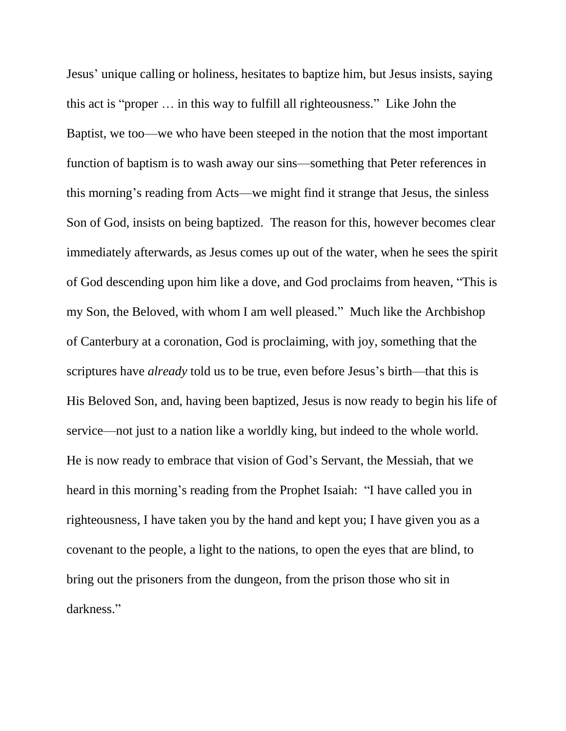Jesus' unique calling or holiness, hesitates to baptize him, but Jesus insists, saying this act is "proper … in this way to fulfill all righteousness." Like John the Baptist, we too—we who have been steeped in the notion that the most important function of baptism is to wash away our sins—something that Peter references in this morning's reading from Acts—we might find it strange that Jesus, the sinless Son of God, insists on being baptized. The reason for this, however becomes clear immediately afterwards, as Jesus comes up out of the water, when he sees the spirit of God descending upon him like a dove, and God proclaims from heaven, "This is my Son, the Beloved, with whom I am well pleased." Much like the Archbishop of Canterbury at a coronation, God is proclaiming, with joy, something that the scriptures have *already* told us to be true, even before Jesus's birth—that this is His Beloved Son, and, having been baptized, Jesus is now ready to begin his life of service—not just to a nation like a worldly king, but indeed to the whole world. He is now ready to embrace that vision of God's Servant, the Messiah, that we heard in this morning's reading from the Prophet Isaiah: "I have called you in righteousness, I have taken you by the hand and kept you; I have given you as a covenant to the people, a light to the nations, to open the eyes that are blind, to bring out the prisoners from the dungeon, from the prison those who sit in darkness."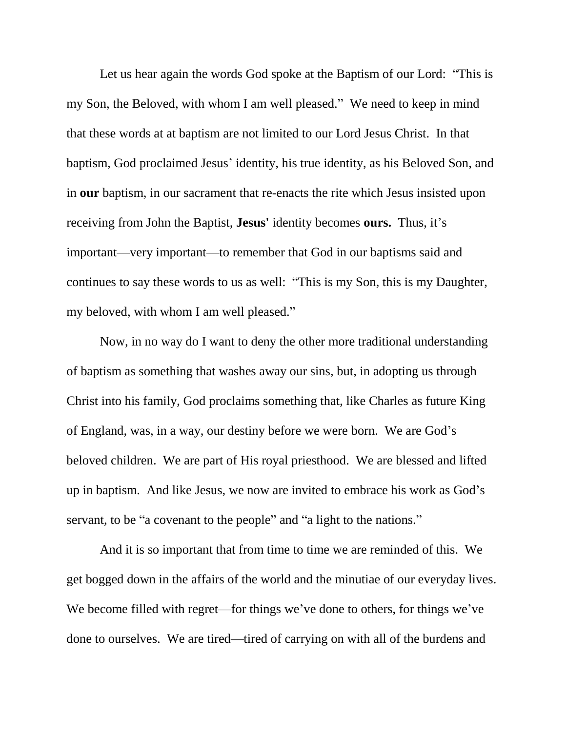Let us hear again the words God spoke at the Baptism of our Lord: "This is my Son, the Beloved, with whom I am well pleased." We need to keep in mind that these words at at baptism are not limited to our Lord Jesus Christ. In that baptism, God proclaimed Jesus' identity, his true identity, as his Beloved Son, and in **our** baptism, in our sacrament that re-enacts the rite which Jesus insisted upon receiving from John the Baptist, **Jesus'** identity becomes **ours.**Thus, it's important—very important—to remember that God in our baptisms said and continues to say these words to us as well: "This is my Son, this is my Daughter, my beloved, with whom I am well pleased."

Now, in no way do I want to deny the other more traditional understanding of baptism as something that washes away our sins, but, in adopting us through Christ into his family, God proclaims something that, like Charles as future King of England, was, in a way, our destiny before we were born. We are God's beloved children. We are part of His royal priesthood. We are blessed and lifted up in baptism. And like Jesus, we now are invited to embrace his work as God's servant, to be "a covenant to the people" and "a light to the nations."

And it is so important that from time to time we are reminded of this. We get bogged down in the affairs of the world and the minutiae of our everyday lives. We become filled with regret—for things we've done to others, for things we've done to ourselves. We are tired—tired of carrying on with all of the burdens and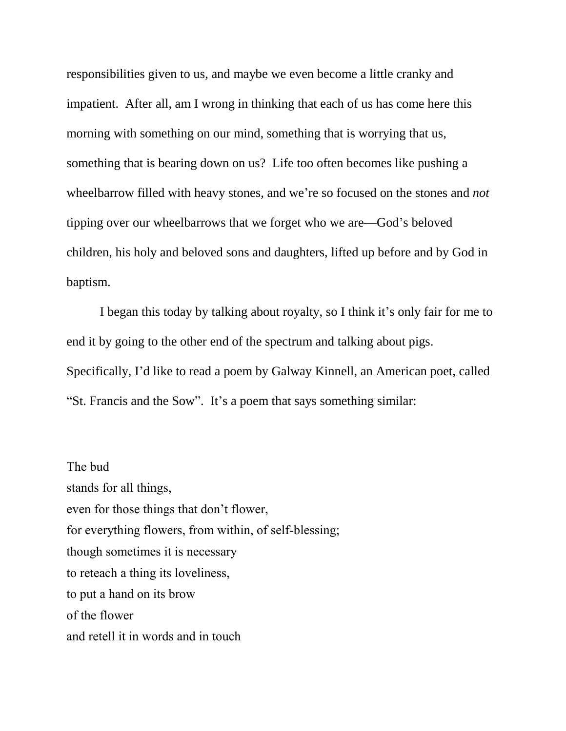responsibilities given to us, and maybe we even become a little cranky and impatient. After all, am I wrong in thinking that each of us has come here this morning with something on our mind, something that is worrying that us, something that is bearing down on us? Life too often becomes like pushing a wheelbarrow filled with heavy stones, and we're so focused on the stones and *not* tipping over our wheelbarrows that we forget who we are—God's beloved children, his holy and beloved sons and daughters, lifted up before and by God in baptism.

I began this today by talking about royalty, so I think it's only fair for me to end it by going to the other end of the spectrum and talking about pigs. Specifically, I'd like to read a poem by Galway Kinnell, an American poet, called "St. Francis and the Sow". It's a poem that says something similar:

The bud stands for all things, even for those things that don't flower, for everything flowers, from within, of self-blessing; though sometimes it is necessary to reteach a thing its loveliness, to put a hand on its brow of the flower and retell it in words and in touch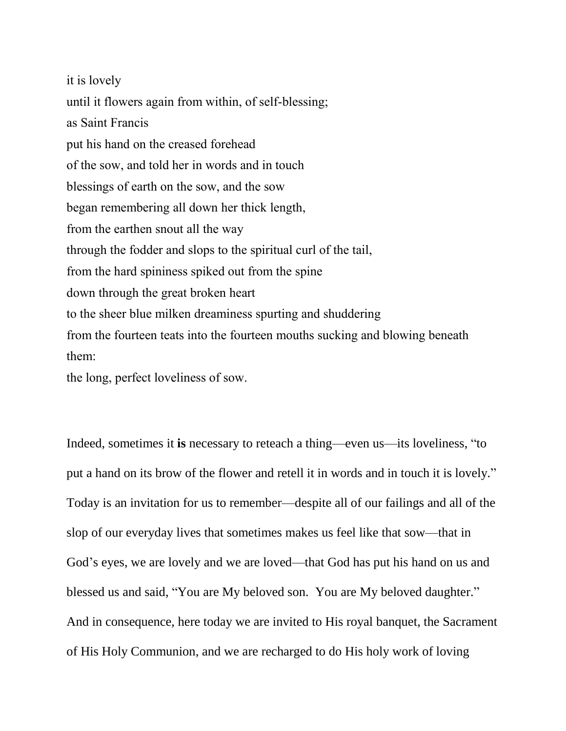it is lovely until it flowers again from within, of self-blessing; as Saint Francis put his hand on the creased forehead of the sow, and told her in words and in touch blessings of earth on the sow, and the sow began remembering all down her thick length, from the earthen snout all the way through the fodder and slops to the spiritual curl of the tail, from the hard spininess spiked out from the spine down through the great broken heart to the sheer blue milken dreaminess spurting and shuddering from the fourteen teats into the fourteen mouths sucking and blowing beneath them: the long, perfect loveliness of sow.

Indeed, sometimes it **is** necessary to reteach a thing—even us—its loveliness, "to put a hand on its brow of the flower and retell it in words and in touch it is lovely." Today is an invitation for us to remember—despite all of our failings and all of the slop of our everyday lives that sometimes makes us feel like that sow—that in God's eyes, we are lovely and we are loved—that God has put his hand on us and blessed us and said, "You are My beloved son. You are My beloved daughter." And in consequence, here today we are invited to His royal banquet, the Sacrament of His Holy Communion, and we are recharged to do His holy work of loving